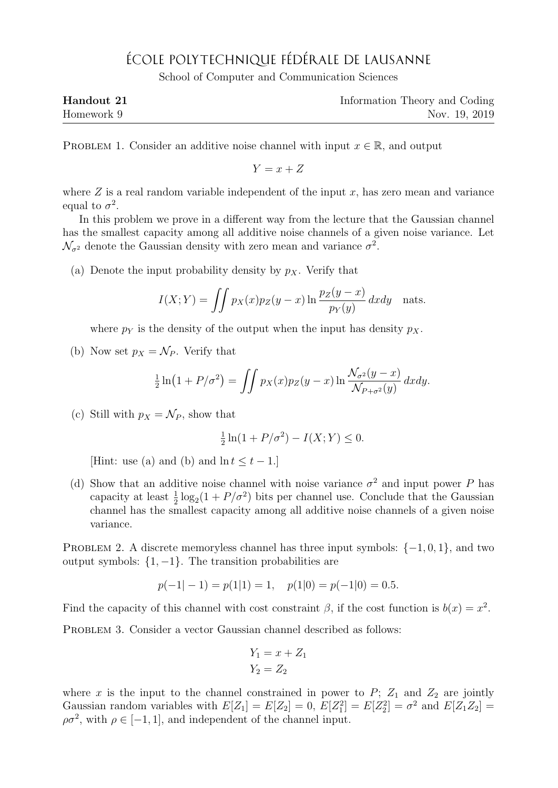## ÉCOLE POLYTECHNIQUE FÉDÉRALE DE LAUSANNE

School of Computer and Communication Sciences

| Handout 21 | Information Theory and Coding |
|------------|-------------------------------|
| Homework 9 | Nov. 19, 2019                 |

PROBLEM 1. Consider an additive noise channel with input  $x \in \mathbb{R}$ , and output

 $Y = x + Z$ 

where  $Z$  is a real random variable independent of the input  $x$ , has zero mean and variance equal to  $\sigma^2$ .

In this problem we prove in a different way from the lecture that the Gaussian channel has the smallest capacity among all additive noise channels of a given noise variance. Let  $\mathcal{N}_{\sigma^2}$  denote the Gaussian density with zero mean and variance  $\sigma^2$ .

(a) Denote the input probability density by  $p<sub>X</sub>$ . Verify that

$$
I(X;Y) = \iint p_X(x)p_Z(y-x) \ln \frac{p_Z(y-x)}{p_Y(y)} dx dy
$$
 nats.

where  $p_Y$  is the density of the output when the input has density  $p_X$ .

(b) Now set  $p_X = \mathcal{N}_P$ . Verify that

$$
\frac{1}{2}\ln(1+P/\sigma^2) = \iint p_X(x)p_Z(y-x)\ln\frac{\mathcal{N}_{\sigma^2}(y-x)}{\mathcal{N}_{P+\sigma^2}(y)}dxdy.
$$

(c) Still with  $p_X = \mathcal{N}_P$ , show that

$$
\frac{1}{2}\ln(1+P/\sigma^2) - I(X;Y) \le 0.
$$

[Hint: use (a) and (b) and  $\ln t \leq t - 1$ .]

(d) Show that an additive noise channel with noise variance  $\sigma^2$  and input power P has capacity at least  $\frac{1}{2} \log_2(1 + P/\sigma^2)$  bits per channel use. Conclude that the Gaussian channel has the smallest capacity among all additive noise channels of a given noise variance.

PROBLEM 2. A discrete memoryless channel has three input symbols:  $\{-1,0,1\}$ , and two output symbols:  $\{1, -1\}$ . The transition probabilities are

$$
p(-1|-1) = p(1|1) = 1
$$
,  $p(1|0) = p(-1|0) = 0.5$ .

Find the capacity of this channel with cost constraint  $\beta$ , if the cost function is  $b(x) = x^2$ .

PROBLEM 3. Consider a vector Gaussian channel described as follows:

$$
Y_1 = x + Z_1
$$

$$
Y_2 = Z_2
$$

where x is the input to the channel constrained in power to  $P$ ;  $Z_1$  and  $Z_2$  are jointly Gaussian random variables with  $E[Z_1] = E[Z_2] = 0$ ,  $E[Z_1^2] = E[Z_2^2] = \sigma^2$  and  $E[Z_1 Z_2] =$  $\rho \sigma^2$ , with  $\rho \in [-1, 1]$ , and independent of the channel input.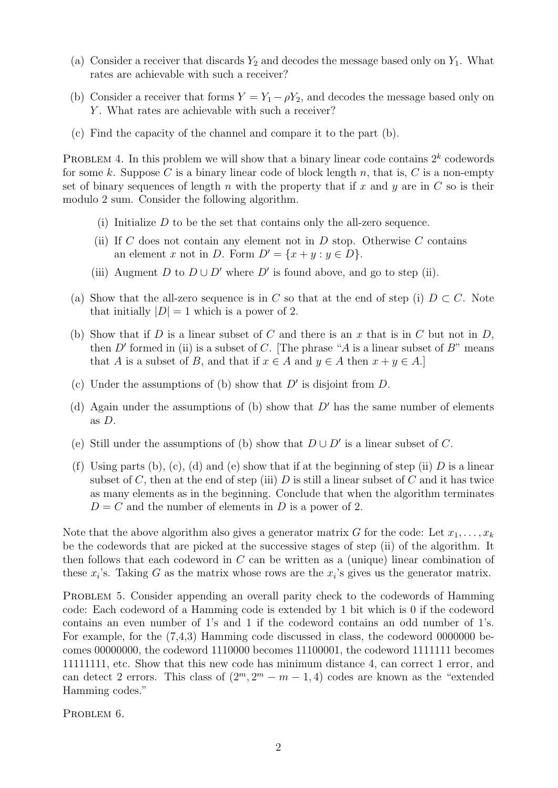- (a) Consider a receiver that discards  $Y_2$  and decodes the message based only on  $Y_1$ . What rates are achievable with such a receiver?
- (b) Consider a receiver that forms  $Y = Y_1 \rho Y_2$ , and decodes the message based only on Y. What rates are achievable with such a receiver?
- (c) Find the capacity of the channel and compare it to the part (b).

PROBLEM 4. In this problem we will show that a binary linear code contains  $2^k$  codewords for some k. Suppose C is a binary linear code of block length n, that is, C is a non-empty set of binary sequences of length n with the property that if x and  $\gamma$  are in C so is their modulo 2 sum. Consider the following algorithm.

- (i) Initialize  $D$  to be the set that contains only the all-zero sequence.
- (ii) If C does not contain any element not in  $D$  stop. Otherwise C contains an element x not in D. Form  $D' = \{x + y : y \in D\}.$
- (iii) Augment D to  $D \cup D'$  where D' is found above, and go to step (ii).
- (a) Show that the all-zero sequence is in C so that at the end of step (i)  $D \subset C$ . Note that initially  $|D| = 1$  which is a power of 2.
- (b) Show that if  $D$  is a linear subset of  $C$  and there is an  $x$  that is in  $C$  but not in  $D$ , then D' formed in (ii) is a subset of C. [The phrase "A is a linear subset of  $B$ " means that A is a subset of B, and that if  $x \in A$  and  $y \in A$  then  $x + y \in A$ .]
- (c) Under the assumptions of (b) show that  $D'$  is disjoint from  $D$ .
- (d) Again under the assumptions of (b) show that  $D'$  has the same number of elements as  $D$ .
- (e) Still under the assumptions of (b) show that  $D \cup D'$  is a linear subset of C.
- (f) Using parts (b), (c), (d) and (e) show that if at the beginning of step (ii) D is a linear subset of C, then at the end of step (iii) D is still a linear subset of C and it has twice as many elements as in the beginning. Conclude that when the algorithm terminates  $D = C$  and the number of elements in D is a power of 2.

Note that the above algorithm also gives a generator matrix G for the code: Let  $x_1, \ldots, x_k$ be the codewords that are picked at the successive stages of step (ii) of the algorithm. It then follows that each codeword in  $C$  can be written as a (unique) linear combination of these  $x_i$ 's. Taking G as the matrix whose rows are the  $x_i$ 's gives us the generator matrix.

PROBLEM 5. Consider appending an overall parity check to the codewords of Hamming code: Each codeword of a Hamming code is extended by 1 bit which is 0 if the codeword contains an even number of 1's and 1 if the codeword contains an odd number of 1's. For example, for the (7,4,3) Hamming code discussed in class, the codeword 0000000 becomes 00000000, the codeword 1110000 becomes 11100001, the codeword 1111111 becomes 11111111, etc. Show that this new code has minimum distance 4, can correct 1 error, and can detect 2 errors. This class of  $(2^m, 2^m - m - 1, 4)$  codes are known as the "extended" Hamming codes."

PROBLEM 6.